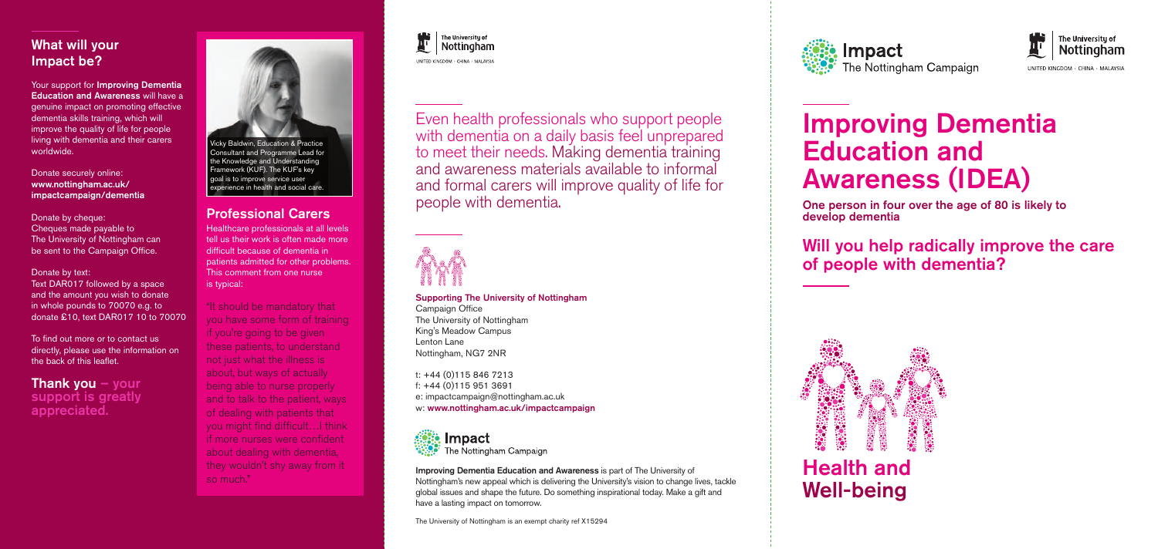Supporting The University of Nottingham

Campaign Office The University of Nottingham King's Meadow Campus Lenton Lane Nottingham, NG7 2NR

t: +44 (0)115 846 7213 f: +44 (0)115 951 3691 e: impactcampaign@nottingham.ac.uk w: www.nottingham.ac.uk/impactcampaign



The Nottingham Campaign

Even health professionals who support people with dementia on a daily basis feel unprepared to meet their needs. Making dementia training and awareness materials available to informal and formal carers will improve quality of life for people with dementia.



Your support for Improving Dementia Education and Awareness will have a genuine impact on promoting effective dementia skills training, which will improve the quality of life for people living with dementia and their carers worldwide.

# Improving Dementia Education and Awareness (IDEA)

One person in four over the age of 80 is likely to develop dementia

Donate by text: Text DAR017 followed by a space and the amount you wish to donate in whole pounds to 70070 e.g. to donate £10, text DAR017 10 to 70070 Will you help radically improve the care of people with dementia?

## Health and Well-being

**Thank you**  $-$  your support is greatly appreciated.

### What will your Impact be?

Donate securely online: www.nottingham.ac.uk/ impactcampaign/dementia

Donate by cheque: Cheques made payable to The University of Nottingham can be sent to the Campaign Office.

To find out more or to contact us directly, please use the information on the back of this leaflet.

> Improving Dementia Education and Awareness is part of The University of Nottingham's new appeal which is delivering the University's vision to change lives, tackle global issues and shape the future. Do something inspirational today. Make a gift and have a lasting impact on tomorrow.

The University of Nottingham is an exempt charity ref X15294









UNITED KINGDOM · CHINA · MALAYSIA

### Professional Carers

Healthcare professionals at all levels tell us their work is often made more difficult because of dementia in patients admitted for other problems. This comment from one nurse is typical:

"It should be mandatory that you have some form of training if you're going to be given these patients, to understand not just what the illness is about, but ways of actually being able to nurse properly and to talk to the patient, ways of dealing with patients that you might find difficult…I think if more nurses were confident about dealing with dementia, they wouldn't shy away from it so much."

The Universitu of Nottingham LINITED KINCDOM - CHINA - MALAYSIA



Consultant and Programme Lead for the Knowledge and Understanding Framework (KUF). The KUF's key goal is to improve service user experience in health and social care.